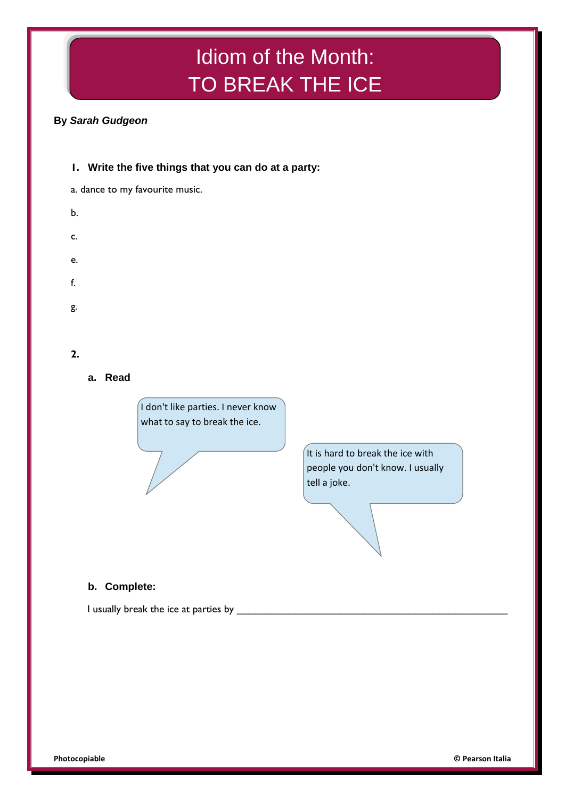# Idiom of the Month: TO BREAK THE ICE

# **By** *Sarah Gudgeon*

a. dance to my favourite music. b. c. e. f. g. **2.**

**1. Write the five things that you can do at a party:**

**a. Read**



It is hard to break the ice with people you don't know. I usually tell a joke.

## **b. Complete:**

I usually break the ice at parties by **with all and the set of the set of the set of the set of the set of the s**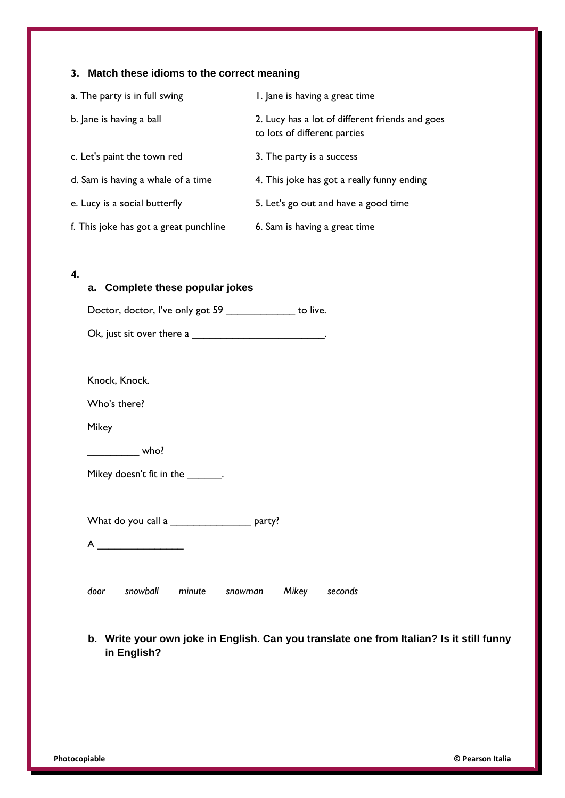## **3. Match these idioms to the correct meaning**

| a. The party is in full swing          | I. Jane is having a great time                                                  |
|----------------------------------------|---------------------------------------------------------------------------------|
| b. Jane is having a ball               | 2. Lucy has a lot of different friends and goes<br>to lots of different parties |
| c. Let's paint the town red            | 3. The party is a success                                                       |
| d. Sam is having a whale of a time     | 4. This joke has got a really funny ending                                      |
| e. Lucy is a social butterfly          | 5. Let's go out and have a good time                                            |
| f. This joke has got a great punchline | 6. Sam is having a great time                                                   |

#### **4.**

| a. Complete these popular jokes                           |  |
|-----------------------------------------------------------|--|
| Doctor, doctor, I've only got 59 ______________ to live.  |  |
| Ok, just sit over there a $\frac{1}{2}$ .                 |  |
|                                                           |  |
| Knock, Knock.                                             |  |
| Who's there?                                              |  |
| <b>Mikey</b>                                              |  |
| $\rule{1em}{0.15mm}$ who?                                 |  |
| Mikey doesn't fit in the _______.                         |  |
|                                                           |  |
| What do you call a __________________ party?              |  |
| $A \underline{\hspace{2cm}}$                              |  |
|                                                           |  |
| snowball<br>door<br>minute<br>Mikey<br>seconds<br>snowman |  |

## **b. Write your own joke in English. Can you translate one from Italian? Is it still funny in English?**